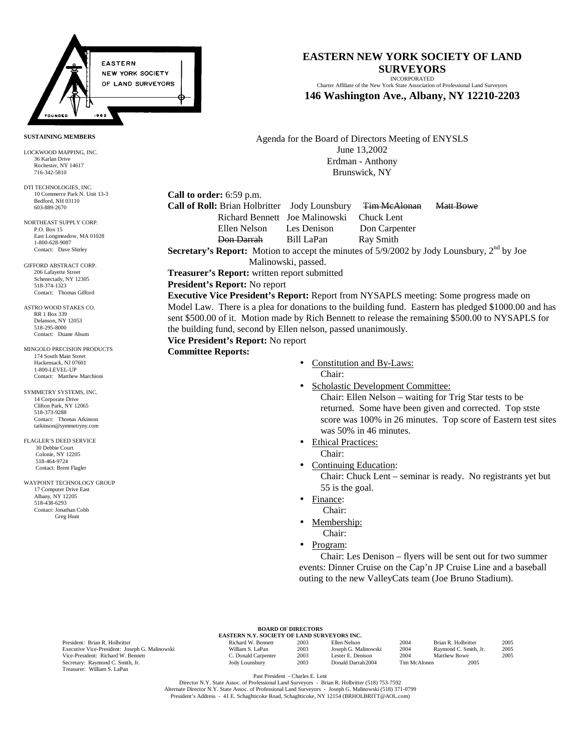

# **EASTERN NEW YORK SOCIETY OF LAND SURVEYORS**

INCORPORATED Charter Affiliate of the New York State Association of Professional Land Surveyors

**146 Washington Ave., Albany, NY 12210-2203**

Agenda for the Board of Directors Meeting of ENYSLS June 13,2002 Erdman - Anthony Brunswick, NY

**Call to order:** 6:59 p.m.

**Call of Roll:** Brian Holbritter Jody Lounsbury <del>Tim McAlonan</del> Matt Bowe

 Richard Bennett Joe Malinowski Chuck Lent Ellen Nelson Les Denison Don Carpenter Don Darrah Bill LaPan Ray Smith

**Secretary's Report:** Motion to accept the minutes of  $5/9/2002$  by Jody Lounsbury,  $2<sup>nd</sup>$  by Joe

Malinowski, passed.

**Treasurer's Report:** written report submitted

#### **President's Report:** No report

**Executive Vice President's Report:** Report from NYSAPLS meeting: Some progress made on Model Law. There is a plea for donations to the building fund. Eastern has pledged \$1000.00 and has sent \$500.00 of it. Motion made by Rich Bennett to release the remaining \$500.00 to NYSAPLS for the building fund, second by Ellen nelson, passed unanimously.

# **Vice President's Report:** No report

**Committee Reports:**

- Constitution and By-Laws: Chair:
- Scholastic Development Committee:

Chair: Ellen Nelson – waiting for Trig Star tests to be returned. Some have been given and corrected. Top stste score was 100% in 26 minutes. Top score of Eastern test sites was 50% in 46 minutes.

- Ethical Practices:
	- Chair:

• Continuing Education: Chair: Chuck Lent – seminar is ready. No registrants yet but 55 is the goal.

- Finance:
- Chair:
- Membership:
	- Chair:
- Program:

 Chair: Les Denison – flyers will be sent out for two summer events: Dinner Cruise on the Cap'n JP Cruise Line and a baseball outing to the new ValleyCats team (Joe Bruno Stadium).

President: Brian R. Holbritter Executive Vice-President: Joseph G. Malinow Vice-President: Richard W. Bennett Secretary: Raymond C. Smith, Jr. Treasurer: William S. LaPan

| <b>BOARD OF DIRECTORS</b>                   |  |  |  |  |  |  |  |
|---------------------------------------------|--|--|--|--|--|--|--|
| EASTERN N.Y. SOCIETY OF LAND SURVEYORS INC. |  |  |  |  |  |  |  |

|      | Richard W. Bennett  | 2003 | Ellen Nelson         | 2004         | Brian R. Holbritter   | 2005 |
|------|---------------------|------|----------------------|--------------|-----------------------|------|
| 'ski | William S. LaPan    | 2003 | Joseph G. Malinowski | 2004         | Raymond C. Smith, Jr. | 2005 |
|      | C. Donald Carpenter | 2003 | Lester E. Denison    | 2004         | Matthew Bowe          | 2005 |
|      | Jody Lounsbury      | 2003 | Donald Darrah 2004   | Tim McAlonen | 2005                  |      |

Past President - Charles E. Lent

Director N.Y. State Assoc. of Professional Land Surveyors - Brian R. Holbritter (518) 753-7592 Alternate Director N.Y. State Assoc. of Professional Land Surveyors - Joseph G. Malinowski (518) 371-0799 President's Address - 41 E. Schaghticoke Road, Schaghticoke, NY 12154 (BRHOLBRITT@AOL.com)

#### **SUSTAINING MEMBERS**

LOCKWOOD MAPPING, INC. 36 Karlan Drive Rochester, NY 14617 716-342-5810

DTI TECHNOLOGIES, INC. 10 Commerce Park N. Unit 13-3 Bedford, NH 03110 603-889-2670

NORTHEAST SUPPLY CORP. P.O. Box 15 East Longmeadow, MA 01028 1-800-628-9087 Contact: Dave Shirley

GIFFORD ABSTRACT CORP. 206 Lafayette Street Schenectady, NY 12305 518-374-1323 Contact: Thomas Gifford

ASTRO WOOD STAKES CO. RR 1 Box 339 Delanson, NY 12053 518-295-8000 Contact: Duane Alsum

MINGOLO PRECISION PRODUCTS 174 South Main Street Hackensack, NJ 07601 1-800-LEVEL-UP Contact: Matthew Marchioni

SYMMETRY SYSTEMS, INC. 14 Corporate Drive Clifton Park, NY 12065 518-373-9288 Contact: Thomas Atkinson tatkinson@symmetryny.com

FLAGLER'S DEED SERVICE 30 Debbie Court Colonie, NY 12205 518-464-9724 Contact: Brent Flagler

WAYPOINT TECHNOLOGY GROUP 17 Computer Drive East Albany, NY 12205 518-438-6293 Contact: Jonathan Cobb Greg Hunt